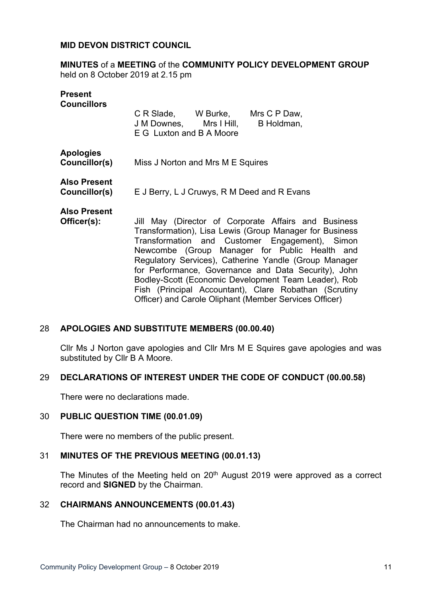## **MID DEVON DISTRICT COUNCIL**

**MINUTES** of a **MEETING** of the **COMMUNITY POLICY DEVELOPMENT GROUP** held on 8 October 2019 at 2.15 pm

| <b>Present</b><br><b>Councillors</b> | C R Slade, W Burke, Mrs C P Daw,<br>J M Downes, Mrs I Hill,<br>B Holdman,                                                                                                                                                                                                                                                          |
|--------------------------------------|------------------------------------------------------------------------------------------------------------------------------------------------------------------------------------------------------------------------------------------------------------------------------------------------------------------------------------|
|                                      | E G Luxton and B A Moore                                                                                                                                                                                                                                                                                                           |
| <b>Apologies</b><br>Councillor(s)    | Miss J Norton and Mrs M E Squires                                                                                                                                                                                                                                                                                                  |
| <b>Also Present</b><br>Councillor(s) | E J Berry, L J Cruwys, R M Deed and R Evans                                                                                                                                                                                                                                                                                        |
| <b>Also Present</b><br>Officer(s):   | Jill May (Director of Corporate Affairs and Business<br>Transformation), Lisa Lewis (Group Manager for Business<br>Transformation and Customer Engagement), Simon<br>Newcombe (Group Manager for Public Health and<br>Regulatory Services), Catherine Yandle (Group Manager<br>far Darfarmannan Oainmannan and Data Canidial Inhia |

for Performance, Governance and Data Security), John Bodley-Scott (Economic Development Team Leader), Rob Fish (Principal Accountant), Clare Robathan (Scrutiny Officer) and Carole Oliphant (Member Services Officer)

### 28 **APOLOGIES AND SUBSTITUTE MEMBERS (00.00.40)**

Cllr Ms J Norton gave apologies and Cllr Mrs M E Squires gave apologies and was substituted by Cllr B A Moore.

### 29 **DECLARATIONS OF INTEREST UNDER THE CODE OF CONDUCT (00.00.58)**

There were no declarations made.

### 30 **PUBLIC QUESTION TIME (00.01.09)**

There were no members of the public present.

### 31 **MINUTES OF THE PREVIOUS MEETING (00.01.13)**

The Minutes of the Meeting held on 20<sup>th</sup> August 2019 were approved as a correct record and **SIGNED** by the Chairman.

### 32 **CHAIRMANS ANNOUNCEMENTS (00.01.43)**

The Chairman had no announcements to make.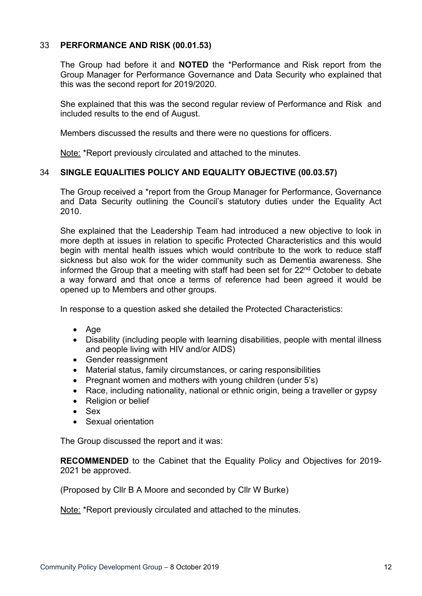# 33 **PERFORMANCE AND RISK (00.01.53)**

The Group had before it and **NOTED** the \*Performance and Risk report from the Group Manager for Performance Governance and Data Security who explained that this was the second report for 2019/2020.

She explained that this was the second regular review of Performance and Risk and included results to the end of August.

Members discussed the results and there were no questions for officers.

Note: \*Report previously circulated and attached to the minutes.

# 34 **SINGLE EQUALITIES POLICY AND EQUALITY OBJECTIVE (00.03.57)**

The Group received a \*report from the Group Manager for Performance, Governance and Data Security outlining the Council's statutory duties under the Equality Act 2010.

She explained that the Leadership Team had introduced a new objective to look in more depth at issues in relation to specific Protected Characteristics and this would begin with mental health issues which would contribute to the work to reduce staff sickness but also wok for the wider community such as Dementia awareness. She informed the Group that a meeting with staff had been set for 22nd October to debate a way forward and that once a terms of reference had been agreed it would be opened up to Members and other groups.

In response to a question asked she detailed the Protected Characteristics:

- Age
- Disability (including people with learning disabilities, people with mental illness and people living with HIV and/or AIDS)
- Gender reassignment
- Material status, family circumstances, or caring responsibilities
- Pregnant women and mothers with young children (under 5's)
- Race, including nationality, national or ethnic origin, being a traveller or gypsy
- Religion or belief
- Sex
- Sexual orientation

The Group discussed the report and it was:

**RECOMMENDED** to the Cabinet that the Equality Policy and Objectives for 2019- 2021 be approved.

(Proposed by Cllr B A Moore and seconded by Cllr W Burke)

Note: \*Report previously circulated and attached to the minutes.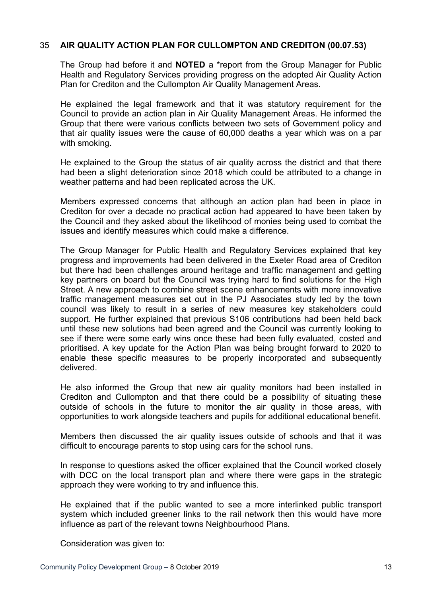## 35 **AIR QUALITY ACTION PLAN FOR CULLOMPTON AND CREDITON (00.07.53)**

The Group had before it and **NOTED** a \*report from the Group Manager for Public Health and Regulatory Services providing progress on the adopted Air Quality Action Plan for Crediton and the Cullompton Air Quality Management Areas.

He explained the legal framework and that it was statutory requirement for the Council to provide an action plan in Air Quality Management Areas. He informed the Group that there were various conflicts between two sets of Government policy and that air quality issues were the cause of 60,000 deaths a year which was on a par with smoking.

He explained to the Group the status of air quality across the district and that there had been a slight deterioration since 2018 which could be attributed to a change in weather patterns and had been replicated across the UK.

Members expressed concerns that although an action plan had been in place in Crediton for over a decade no practical action had appeared to have been taken by the Council and they asked about the likelihood of monies being used to combat the issues and identify measures which could make a difference.

The Group Manager for Public Health and Regulatory Services explained that key progress and improvements had been delivered in the Exeter Road area of Crediton but there had been challenges around heritage and traffic management and getting key partners on board but the Council was trying hard to find solutions for the High Street. A new approach to combine street scene enhancements with more innovative traffic management measures set out in the PJ Associates study led by the town council was likely to result in a series of new measures key stakeholders could support. He further explained that previous S106 contributions had been held back until these new solutions had been agreed and the Council was currently looking to see if there were some early wins once these had been fully evaluated, costed and prioritised. A key update for the Action Plan was being brought forward to 2020 to enable these specific measures to be properly incorporated and subsequently delivered.

He also informed the Group that new air quality monitors had been installed in Crediton and Cullompton and that there could be a possibility of situating these outside of schools in the future to monitor the air quality in those areas, with opportunities to work alongside teachers and pupils for additional educational benefit.

Members then discussed the air quality issues outside of schools and that it was difficult to encourage parents to stop using cars for the school runs.

In response to questions asked the officer explained that the Council worked closely with DCC on the local transport plan and where there were gaps in the strategic approach they were working to try and influence this.

He explained that if the public wanted to see a more interlinked public transport system which included greener links to the rail network then this would have more influence as part of the relevant towns Neighbourhood Plans.

Consideration was given to: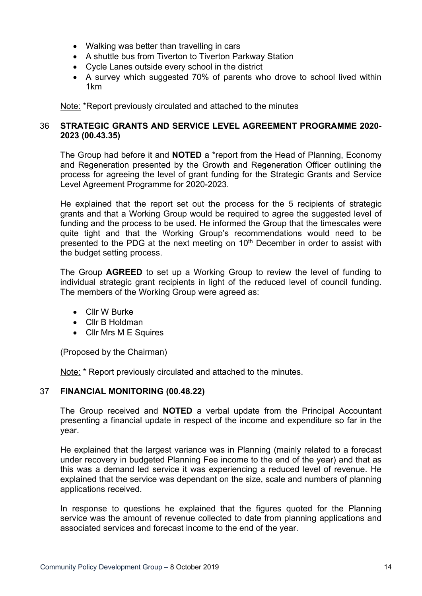- Walking was better than travelling in cars
- A shuttle bus from Tiverton to Tiverton Parkway Station
- Cycle Lanes outside every school in the district
- A survey which suggested 70% of parents who drove to school lived within 1km

Note: \*Report previously circulated and attached to the minutes

# 36 **STRATEGIC GRANTS AND SERVICE LEVEL AGREEMENT PROGRAMME 2020- 2023 (00.43.35)**

The Group had before it and **NOTED** a \*report from the Head of Planning, Economy and Regeneration presented by the Growth and Regeneration Officer outlining the process for agreeing the level of grant funding for the Strategic Grants and Service Level Agreement Programme for 2020-2023.

He explained that the report set out the process for the 5 recipients of strategic grants and that a Working Group would be required to agree the suggested level of funding and the process to be used. He informed the Group that the timescales were quite tight and that the Working Group's recommendations would need to be presented to the PDG at the next meeting on 10<sup>th</sup> December in order to assist with the budget setting process.

The Group **AGREED** to set up a Working Group to review the level of funding to individual strategic grant recipients in light of the reduced level of council funding. The members of the Working Group were agreed as:

- Cllr W Burke
- Cllr B Holdman
- Cllr Mrs M E Squires

(Proposed by the Chairman)

Note: \* Report previously circulated and attached to the minutes.

## 37 **FINANCIAL MONITORING (00.48.22)**

The Group received and **NOTED** a verbal update from the Principal Accountant presenting a financial update in respect of the income and expenditure so far in the year.

He explained that the largest variance was in Planning (mainly related to a forecast under recovery in budgeted Planning Fee income to the end of the year) and that as this was a demand led service it was experiencing a reduced level of revenue. He explained that the service was dependant on the size, scale and numbers of planning applications received.

In response to questions he explained that the figures quoted for the Planning service was the amount of revenue collected to date from planning applications and associated services and forecast income to the end of the year.